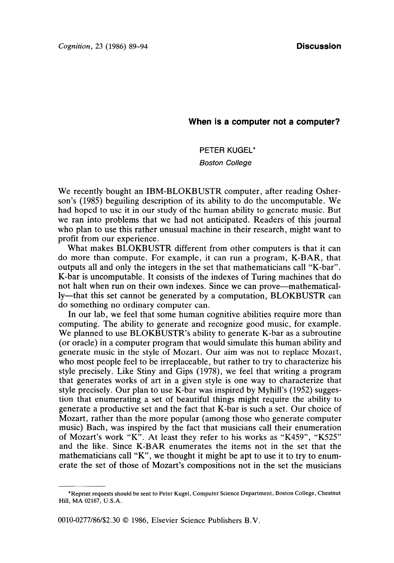## When is a computer not a computer?

PETER KUGEL\* Boston College

We recently bought an IBM-BLOKBUSTR computer, after reading Osherson's (1985) beguiling description of its ability to do the uncomputable. We had hoped to use it in our study of the human ability to generate music. But we ran into problems that we had not anticipated. Readers of this journal who plan to use this rather unusual machine in their research, might want to profit from our experience.

What makes BLOKBUSTR different from other computers is that it can do more than compute. For example, it can run a program, K-BAR, that outputs all and only the integers in the set that mathematicians call "K-bar". K-bar is uncomputable. It consists of the indexes of Turing machines that do not halt when run on their own indexes. Since we can prove—mathematically-that this set cannot be generated by a computation, BLOKBUSTR can do something no ordinary computer can.

In our lab, we feel that some human cognitive abilities require more than computing. The ability to generate and recognize good music, for example. We planned to use BLOKBUSTR's ability to generate K-bar as a subroutine (or oracle) in a computer program that would simulate this human ability and generate music in the style of Mozart. Our aim was not to replace Mozart, who most people feel to be irreplaceable, but rather to try to characterize his style precisely. Like Stiny and Gips (1978), we feel that writing a program that generates works of art in a given style is one way to characterize that style precisely. Our plan to use K-bar was inspired by Myhill's (1952) suggestion that enumerating a set of beautiful things might require the ability to generate a productive set and the fact that K-bar is such a set. Our choice of Mozart, rather than the more popular (among those who generate computer music) Bach, was inspired by the fact that musicians call their enumeration of Mozart's work "K". At least they refer to his works as "K459", "K525" and the like. Since K-BAR enumerates the items not in the set that the mathematicians call "K", we thought it might be apt to use it to try to enumerate the set of those of Mozart's compositions not in the set the musicians

OOlO-0277/86/\$2.30 0 1986, Elsevier Science Publishers B.V.

<sup>\*</sup>Reprint requests should be sent to Peter Kugel, Computer Science Department, Boston College, Chestnut Hill, MA 02167, U.S.A.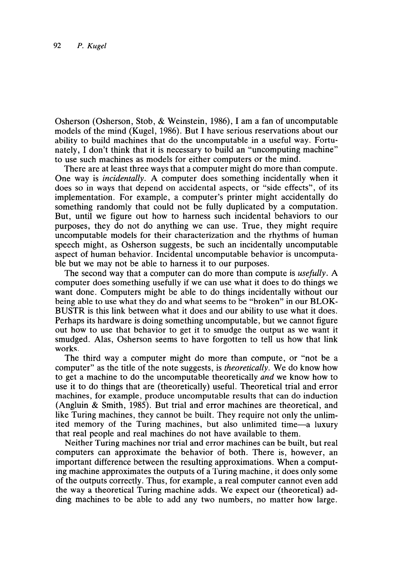Osherson (Osherson, Stob, & Weinstein, 1986), I am a fan of uncomputable models of the mind (Kugel, 1986). But I have serious reservations about our ability to build machines that do the uncomputable in a useful way. Fortunately, I don't think that it is necessary to build an "uncomputing machine" to use such machines as models for either computers or the mind.

There are at least three ways that a computer might do more than compute. One way is incidentally. A computer does something incidentally when it does so in ways that depend on accidental aspects, or "side effects", of its implementation. For example, a computer's printer might accidentally do something randomly that could not be fully duplicated by a computation. But, until we figure out how to harness such incidental behaviors to our purposes, they do not do anything we can use. True, they might require uncomputable models for their characterization and the rhythms of human speech might, as Osherson suggests, be such an incidentally uncomputable aspect of human behavior. Incidental uncomputable behavior is uncomputable but we may not be able to harness it to our purposes.

The second way that a computer can do more than compute is *usefully*. A computer does something usefully if we can use what it does to do things we want done. Computers might be able to do things incidentally without our being able to use what they do and what seems to be "broken" in our BLOK-BUSTR is this link between what it does and our ability to use what it does. Perhaps its hardware is doing something uncomputable, but we cannot figure out how to use that behavior to get it to smudge the output as we want it smudged. Alas, Osherson seems to have forgotten to tell us how that link works.

The third way a computer might do more than compute, or "not be a computer" as the title of the note suggests, is *theoretically*. We do know how to get a machine to do the uncomputable theoretically *and* we know how to use it to do things that are (theoretically) useful. Theoretical trial and error machines, for example, produce uncomputable results that can do induction (Angluin & Smith, 1985). But trial and error machines are theoretical, and like Turing machines, they cannot be built. They require not only the unlimited memory of the Turing machines, but also unlimited time-a luxury that real people and real machines do not have available to them.

Neither Turing machines nor trial and error machines can be built, but real computers can approximate the behavior of both. There is, however, an important difference between the resulting approximations. When a computing machine approximates the outputs of a Turing machine, it does only some of the outputs correctly. Thus, for example, a real computer cannot even add the way a theoretical Turing machine adds. We expect our (theoretical) adding machines to be able to add any two numbers, no matter how large.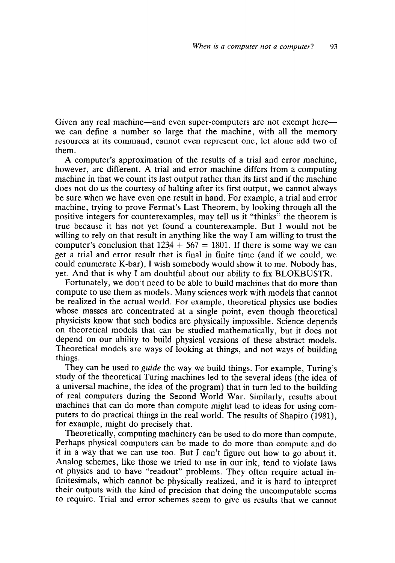Given any real machine—and even super-computers are not exempt here we can define a number so large that the machine, with all the memory resources at its command, cannot even represent one, let alone add two of them.

A computer's approximation of the results of a trial and error machine, however, are different. A trial and error machine differs from a computing machine in that we count its last output rather than its first and if the machine does not do us the courtesy of halting after its first output, we cannot always be sure when we have even one result in hand. For example, a trial and error machine, trying to prove Fermat's Last Theorem, by looking through all the positive integers for counterexamples, may tell us it "thinks" the theorem is true because it has not yet found a counterexample. But I would not be willing to rely on that result in anything like the way I am willing to trust the computer's conclusion that  $1234 + 567 = 1801$ . If there is some way we can get a trial and error result that is final in finite time (and if we could, we could enumerate K-bar), I wish somebody would show it to me. Nobody has, yet. And that is why I am doubtful about our ability to fix BLOKBUSTR.

Fortunately, we don't need to be able to build machines that do more than compute to use them as models. Many sciences work with models that cannot be realized in the actual world. For example, theoretical physics use bodies whose masses are concentrated at a single point, even though theoretical physicists know that such bodies are physically impossible. Science depends on theoretical models that can be studied mathematically, but it does not depend on our ability to build physical versions of these abstract models. Theoretical models are ways of looking at things, and not ways of building things.

They can be used to *guide* the way we build things. For example, Turing's study of the theoretical Turing machines led to the several ideas (the idea of a universal machine, the idea of the program) that in turn led to the building of real computers during the Second World War. Similarly, results about machines that can do more than compute might lead to ideas for using computers to do practical things in the real world. The results of Shapiro (1981), for example, might do precisely that.

Theoretically, computing machinery can be used to do more than compute. Perhaps physical computers can be made to do more than compute and do it in a way that we can use too. But I can't figure out how to go about it. Analog schemes, like those we tried to use in our ink, tend to violate laws of physics and to have "readout" problems. They often require actual infinitesimals, which cannot be physically realized, and it is hard to interpret their outputs with the kind of precision that doing the uncomputable seems to require. Trial and error schemes seem to give us results that we cannot